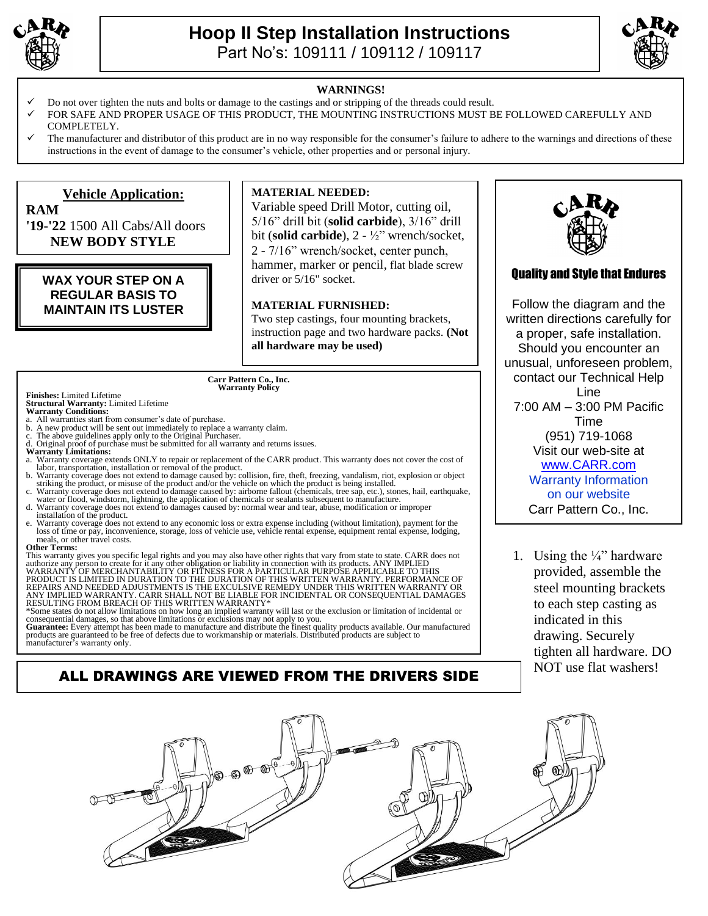

**RAM**

## **Hoop II Step Installation Instructions**  Part No's: 109111 / 109112 / 109117



#### **WARNINGS!**

- Do not over tighten the nuts and bolts or damage to the castings and or stripping of the threads could result.
- FOR SAFE AND PROPER USAGE OF THIS PRODUCT, THE MOUNTING INSTRUCTIONS MUST BE FOLLOWED CAREFULLY AND COMPLETELY.
- The manufacturer and distributor of this product are in no way responsible for the consumer's failure to adhere to the warnings and directions of these instructions in the event of damage to the consumer's vehicle, other properties and or personal injury.

### **Vehicle Application:**

**'19-'22** 1500 All Cabs/All doors  **NEW BODY STYLE**

### **WAX YOUR STEP ON A REGULAR BASIS TO MAINTAIN ITS LUSTER**

### **MATERIAL NEEDED:**

Variable speed Drill Motor, cutting oil, 5/16" drill bit (**solid carbide**), 3/16" drill bit (**solid carbide**), 2 - ½" wrench/socket, 2 - 7/16" wrench/socket, center punch, hammer, marker or pencil, flat blade screw driver or 5/16" socket.

### **MATERIAL FURNISHED:**

Two step castings, four mounting brackets, instruction page and two hardware packs. **(Not all hardware may be used)**

### **Carr Pattern Co., Inc. Warranty Policy**

**Finishes:** Limited Lifetime **Structural Warranty:** Limited Lifetime **Warranty Conditions:**

- 
- a. All warranties start from consumer's date of purchase. b. A new product will be sent out immediately to replace a warranty claim.
- The above guidelines apply only to the Original Purchaser.
- Original proof of purchase must be submitted for all warranty and returns issues.
- **Warranty Limitations:**
- a. Warranty coverage extends ONLY to repair or replacement of the CARR product. This warranty does not cover the cost of labor, transportation, installation or removal of the product.
- b. Warranty coverage does not extend to damage caused by: collision, fire, theft, freezing, vandalism, riot, explosion or object striking the product, or misuse of the product and/or the vehicle on which the product is bei
- water or flood, windstorm, lightning, the application of chemicals or sealants subsequent to manufacture. d. Warranty coverage does not extend to damages caused by: normal wear and tear, abuse, modification or improper
- installation of the product. e. Warranty coverage does not extend to any economic loss or extra expense including (without limitation), payment for the loss of time or pay, inconvenience, storage, loss of vehicle use, vehicle rental expense, equipment
- meals, or other travel costs.

**Other Terms:**

This warranty gives you specific legal rights and you may also have other rights that vary from state to state. CARR does not authorize any person to create for it any other obligation or liability in connection with its products. ANY IMPLIED<br>WARRANTY OF MERCHANTABILITY OR FITNESS FOR A PARTICULAR PURPOSE APPLICABLE TO THIS<br>PRODUCT IS LIMITED IN

ANY IMPLIED WARRANTY. CARR SHALL NOT BE LIABLE FOR INCIDENTAL OR CONSEQUENTIAL DAMAGES<br>RESULTING FROM BREACH OF THIS WRITTEN WARRANTY\*<br>\*Some states do not allow limitations on how long an implied warranty will last or the

products are guaranteed to be free of defects due to workmanship or materials. Distributed products are subject to manufacturer's warranty only.

# ALL DRAWINGS ARE VIEWED FROM THE DRIVERS SIDE



### Quality and Style that Endures

Follow the diagram and the written directions carefully for a proper, safe installation. Should you encounter an unusual, unforeseen problem, contact our Technical Help Line 7:00 AM – 3:00 PM Pacific Time (951) 719-1068 Visit our web-site at [www.CARR.com](http://www.carr.com/) Warranty Information on our website Carr Pattern Co., Inc.

1. Using the  $\frac{1}{4}$ " hardware provided, assemble the steel mounting brackets to each step casting as indicated in this drawing. Securely tighten all hardware. DO NOT use flat washers!